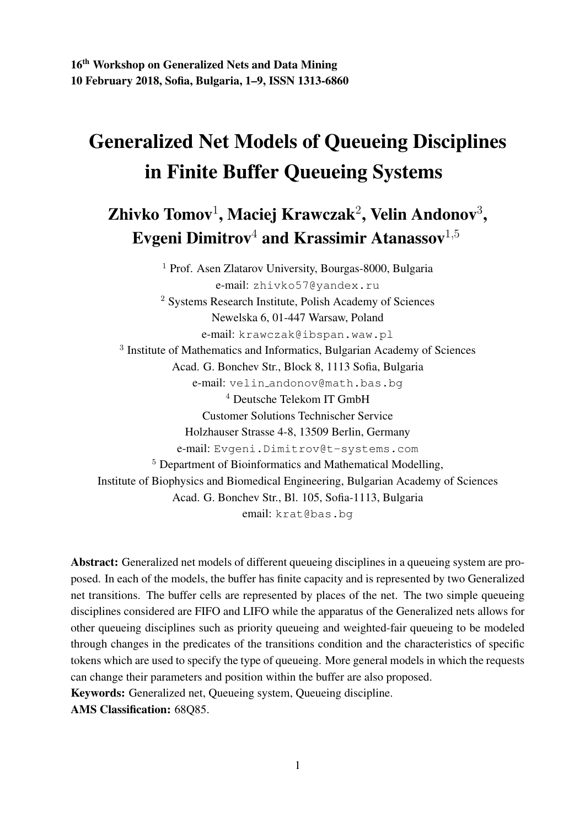# Generalized Net Models of Queueing Disciplines in Finite Buffer Queueing Systems

### Zhivko Tomov $^1$ , Maciej Krawczak $^2$ , Velin Andonov $^3,$ Evgeni Dimitrov<sup>4</sup> and Krassimir Atanassov<sup>1,5</sup>

<sup>1</sup> Prof. Asen Zlatarov University, Bourgas-8000, Bulgaria e-mail: zhivko57@yandex.ru <sup>2</sup> Systems Research Institute, Polish Academy of Sciences Newelska 6, 01-447 Warsaw, Poland e-mail: krawczak@ibspan.waw.pl <sup>3</sup> Institute of Mathematics and Informatics, Bulgarian Academy of Sciences Acad. G. Bonchev Str., Block 8, 1113 Sofia, Bulgaria e-mail: velin andonov@math.bas.bg <sup>4</sup> Deutsche Telekom IT GmbH Customer Solutions Technischer Service Holzhauser Strasse 4-8, 13509 Berlin, Germany e-mail: Evgeni.Dimitrov@t-systems.com <sup>5</sup> Department of Bioinformatics and Mathematical Modelling, Institute of Biophysics and Biomedical Engineering, Bulgarian Academy of Sciences Acad. G. Bonchev Str., Bl. 105, Sofia-1113, Bulgaria email: krat@bas.bg

Abstract: Generalized net models of different queueing disciplines in a queueing system are proposed. In each of the models, the buffer has finite capacity and is represented by two Generalized net transitions. The buffer cells are represented by places of the net. The two simple queueing disciplines considered are FIFO and LIFO while the apparatus of the Generalized nets allows for other queueing disciplines such as priority queueing and weighted-fair queueing to be modeled through changes in the predicates of the transitions condition and the characteristics of specific tokens which are used to specify the type of queueing. More general models in which the requests can change their parameters and position within the buffer are also proposed. Keywords: Generalized net, Queueing system, Queueing discipline.

AMS Classification: 68Q85.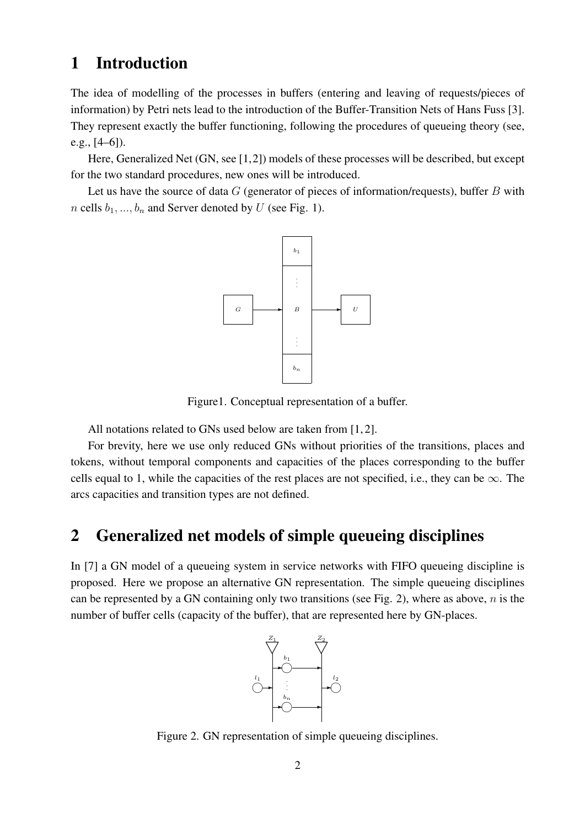### 1 Introduction

The idea of modelling of the processes in buffers (entering and leaving of requests/pieces of information) by Petri nets lead to the introduction of the Buffer-Transition Nets of Hans Fuss [3]. They represent exactly the buffer functioning, following the procedures of queueing theory (see, e.g., [4–6]).

Here, Generalized Net (GN, see [1,2]) models of these processes will be described, but except for the two standard procedures, new ones will be introduced.

Let us have the source of data  $G$  (generator of pieces of information/requests), buffer  $B$  with *n* cells  $b_1, ..., b_n$  and Server denoted by U (see Fig. 1).



Figure1. Conceptual representation of a buffer.

All notations related to GNs used below are taken from [1, 2].

For brevity, here we use only reduced GNs without priorities of the transitions, places and tokens, without temporal components and capacities of the places corresponding to the buffer cells equal to 1, while the capacities of the rest places are not specified, i.e., they can be  $\infty$ . The arcs capacities and transition types are not defined.

### 2 Generalized net models of simple queueing disciplines

In [7] a GN model of a queueing system in service networks with FIFO queueing discipline is proposed. Here we propose an alternative GN representation. The simple queueing disciplines can be represented by a GN containing only two transitions (see Fig. 2), where as above, n is the number of buffer cells (capacity of the buffer), that are represented here by GN-places.



Figure 2. GN representation of simple queueing disciplines.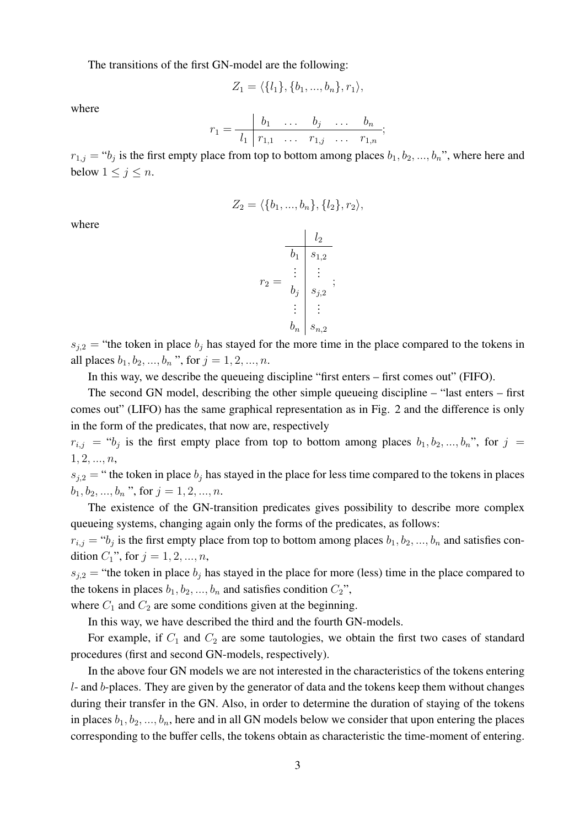The transitions of the first GN-model are the following:

$$
Z_1 = \langle \{l_1\}, \{b_1, ..., b_n\}, r_1 \rangle,
$$

where

$$
r_1 = \frac{b_1 \dots b_j \dots b_n}{l_1 \mid r_{1,1} \dots r_{1,j} \dots r_{1,n}};
$$

 $r_{1,j} = "b_j$  is the first empty place from top to bottom among places  $b_1, b_2, ..., b_n$ ", where here and below  $1 \leq j \leq n$ .

$$
Z_2 = \langle \{b_1, ..., b_n\}, \{l_2\}, r_2 \rangle
$$

where

$$
r_2 = \begin{array}{c|cc} & l_2 & \\ \hline b_1 & s_{1,2} & \\ \vdots & \vdots & \\ b_j & s_{j,2} & \\ \vdots & \vdots & \\ b_n & s_{n,2} & \end{array}
$$

 $s_{j,2}$  = "the token in place  $b_j$  has stayed for the more time in the place compared to the tokens in all places  $b_1, b_2, ..., b_n$ ", for  $j = 1, 2, ..., n$ .

In this way, we describe the queueing discipline "first enters – first comes out" (FIFO).

The second GN model, describing the other simple queueing discipline – "last enters – first comes out" (LIFO) has the same graphical representation as in Fig. 2 and the difference is only in the form of the predicates, that now are, respectively

 $r_{i,j}$  = " $b_j$  is the first empty place from top to bottom among places  $b_1, b_2, ..., b_n$ ", for  $j =$  $1, 2, ..., n$ ,

 $s_{i,2}$  = " the token in place  $b_i$  has stayed in the place for less time compared to the tokens in places  $b_1, b_2, ..., b_n$ ", for  $j = 1, 2, ..., n$ .

The existence of the GN-transition predicates gives possibility to describe more complex queueing systems, changing again only the forms of the predicates, as follows:

 $r_{i,j} = "b_j$  is the first empty place from top to bottom among places  $b_1, b_2, ..., b_n$  and satisfies condition  $C_1$ ", for  $j = 1, 2, ..., n$ ,

 $s_{i,2}$  = "the token in place  $b_i$  has stayed in the place for more (less) time in the place compared to the tokens in places  $b_1, b_2, ..., b_n$  and satisfies condition  $C_2$ ",

where  $C_1$  and  $C_2$  are some conditions given at the beginning.

In this way, we have described the third and the fourth GN-models.

For example, if  $C_1$  and  $C_2$  are some tautologies, we obtain the first two cases of standard procedures (first and second GN-models, respectively).

In the above four GN models we are not interested in the characteristics of the tokens entering l- and b-places. They are given by the generator of data and the tokens keep them without changes during their transfer in the GN. Also, in order to determine the duration of staying of the tokens in places  $b_1, b_2, ..., b_n$ , here and in all GN models below we consider that upon entering the places corresponding to the buffer cells, the tokens obtain as characteristic the time-moment of entering.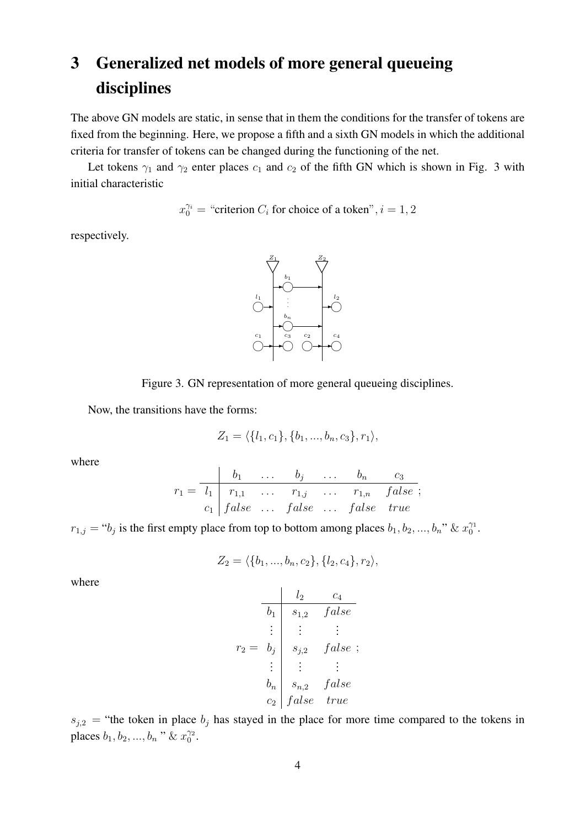## 3 Generalized net models of more general queueing disciplines

The above GN models are static, in sense that in them the conditions for the transfer of tokens are fixed from the beginning. Here, we propose a fifth and a sixth GN models in which the additional criteria for transfer of tokens can be changed during the functioning of the net.

Let tokens  $\gamma_1$  and  $\gamma_2$  enter places  $c_1$  and  $c_2$  of the fifth GN which is shown in Fig. 3 with initial characteristic

$$
x_0^{\gamma_i}
$$
 = "criterion  $C_i$  for choice of a token",  $i = 1, 2$ 

respectively.



Figure 3. GN representation of more general queueing disciplines.

Now, the transitions have the forms:

$$
Z_1 = \langle \{l_1, c_1\}, \{b_1, ..., b_n, c_3\}, r_1 \rangle,
$$

where

$$
r_1 = \begin{array}{c|cccc} & b_1 & \dots & b_j & \dots & b_n & c_3 \\ \hline l_1 & r_{1,1} & \dots & r_{1,j} & \dots & r_{1,n} & false \\ c_1 & false & \dots & false & \dots & false & true \end{array};
$$

 $r_{1,j} = "b_j$  is the first empty place from top to bottom among places  $b_1, b_2, ..., b_n$ " &  $x_0^{\gamma_1}$ .

$$
Z_2 = \langle \{b_1, ..., b_n, c_2\}, \{l_2, c_4\}, r_2 \rangle,
$$

where

$$
r_2 = \begin{array}{c|ccc}\n & l_2 & c_4 \\
\hline\nb_1 & s_{1,2} & false \\
\vdots & \vdots & \vdots \\
r_2 = b_j & s_{j,2} & false \\
\vdots & \vdots & \vdots \\
b_n & s_{n,2} & false \\
c_2 & false & true\n\end{array}
$$

 $s_{j,2}$  = "the token in place  $b_j$  has stayed in the place for more time compared to the tokens in places  $b_1, b_2, ..., b_n$  " &  $x_0^{\gamma_2}$ .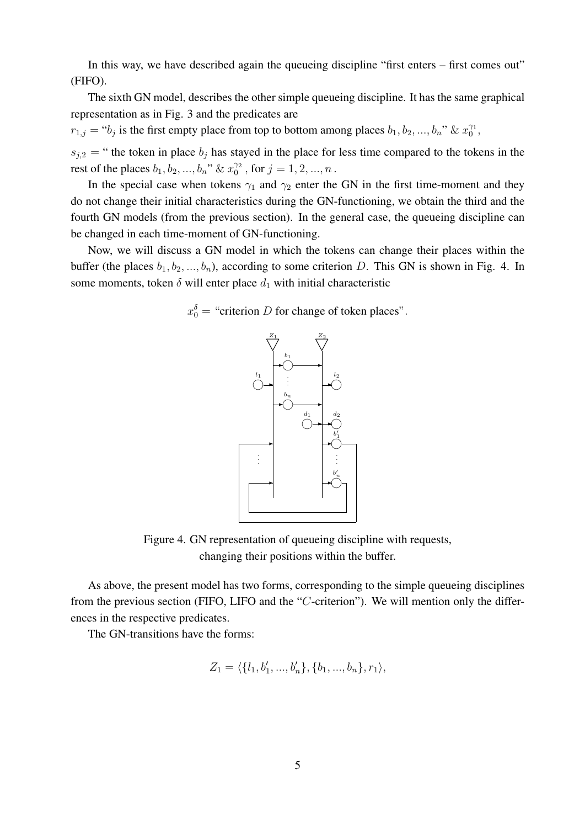In this way, we have described again the queueing discipline "first enters – first comes out" (FIFO).

The sixth GN model, describes the other simple queueing discipline. It has the same graphical representation as in Fig. 3 and the predicates are

 $r_{1,j} = "b_j$  is the first empty place from top to bottom among places  $b_1, b_2, ..., b_n$ " &  $x_0^{\gamma_1}$ ,

 $s_{j,2}$  = " the token in place  $b_j$  has stayed in the place for less time compared to the tokens in the rest of the places  $b_1, b_2, ..., b_n$ " &  $x_0^{\gamma_2}$ , for  $j = 1, 2, ..., n$ .

In the special case when tokens  $\gamma_1$  and  $\gamma_2$  enter the GN in the first time-moment and they do not change their initial characteristics during the GN-functioning, we obtain the third and the fourth GN models (from the previous section). In the general case, the queueing discipline can be changed in each time-moment of GN-functioning.

Now, we will discuss a GN model in which the tokens can change their places within the buffer (the places  $b_1, b_2, ..., b_n$ ), according to some criterion D. This GN is shown in Fig. 4. In some moments, token  $\delta$  will enter place  $d_1$  with initial characteristic

 $x_0^{\delta}$  = "criterion D for change of token places".



Figure 4. GN representation of queueing discipline with requests, changing their positions within the buffer.

As above, the present model has two forms, corresponding to the simple queueing disciplines from the previous section (FIFO, LIFO and the "C-criterion"). We will mention only the differences in the respective predicates.

The GN-transitions have the forms:

$$
Z_1 = \langle \{l_1, b'_1, ..., b'_n\}, \{b_1, ..., b_n\}, r_1 \rangle,
$$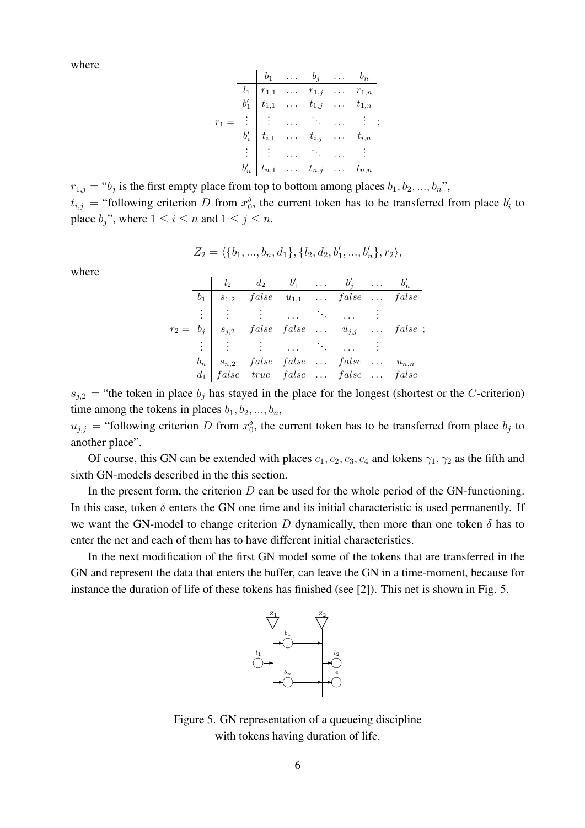where

$$
r_1 = \begin{array}{c|cccccc} & b_1 & \ldots & b_j & \ldots & b_n \\ \hline l_1 & r_{1,1} & \ldots & r_{1,j} & \ldots & r_{1,n} \\ b'_1 & t_{1,1} & \ldots & t_{1,j} & \ldots & t_{1,n} \\ \vdots & \vdots & \ldots & \ddots & \ldots & \vdots & \vdots \\ b'_i & t_{i,1} & \ldots & t_{i,j} & \ldots & t_{i,n} \\ \vdots & \vdots & \ldots & \ddots & \ldots & \vdots \\ b'_n & t_{n,1} & \ldots & t_{n,j} & \ldots & t_{n,n} \end{array}
$$

 $r_{1,j} = "b_j$  is the first empty place from top to bottom among places  $b_1, b_2, ..., b_n$ ",  $t_{i,j}$  = "following criterion D from  $x_0^{\delta}$ , the current token has to be transferred from place  $b_i'$  to place  $b_j$ ", where  $1 \le i \le n$  and  $1 \le j \le n$ .

$$
Z_2 = \langle \{b_1, ..., b_n, d_1\}, \{l_2, d_2, b'_1, ..., b'_n\}, r_2 \rangle,
$$

where

$$
r_2 = b_j \begin{vmatrix} l_2 & d_2 & b'_1 & \dots & b'_j & \dots & b'_n \\ s_{1,2} & false & u_{1,1} & \dots & false & \dots & false \\ \vdots & \vdots & \vdots & \dots & \ddots & \dots & \vdots \\ s_{j,2} & false & false & \dots & u_{j,j} & \dots & false \\ \vdots & \vdots & \vdots & \dots & \ddots & \dots & \vdots \\ b_n & s_{n,2} & false & false & \dots & false & \dots & u_{n,n} \\ false & true & false & \dots & false & \dots & false \end{vmatrix}
$$

 $s_{j,2}$  = "the token in place  $b_j$  has stayed in the place for the longest (shortest or the C-criterion) time among the tokens in places  $b_1, b_2, ..., b_n$ ,

 $u_{j,j}$  = "following criterion D from  $x_0^{\delta}$ , the current token has to be transferred from place  $b_j$  to another place".

Of course, this GN can be extended with places  $c_1, c_2, c_3, c_4$  and tokens  $\gamma_1, \gamma_2$  as the fifth and sixth GN-models described in the this section.

In the present form, the criterion  $D$  can be used for the whole period of the GN-functioning. In this case, token  $\delta$  enters the GN one time and its initial characteristic is used permanently. If we want the GN-model to change criterion D dynamically, then more than one token  $\delta$  has to enter the net and each of them has to have different initial characteristics.

In the next modification of the first GN model some of the tokens that are transferred in the GN and represent the data that enters the buffer, can leave the GN in a time-moment, because for instance the duration of life of these tokens has finished (see [2]). This net is shown in Fig. 5.



Figure 5. GN representation of a queueing discipline with tokens having duration of life.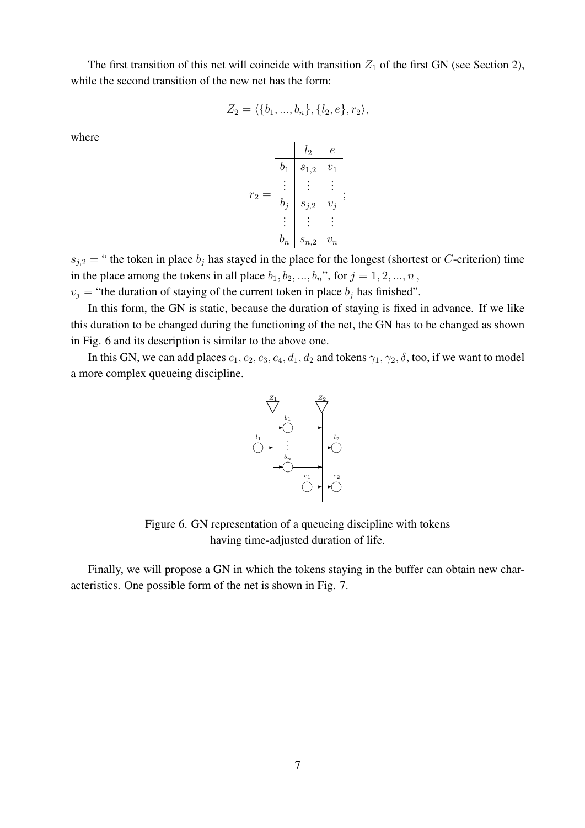The first transition of this net will coincide with transition  $Z_1$  of the first GN (see Section 2), while the second transition of the new net has the form:

$$
Z_2 = \langle \{b_1, ..., b_n\}, \{l_2, e\}, r_2 \rangle,
$$

where

$$
r_2 = \begin{array}{c|ccc} & l_2 & e \\ \hline b_1 & s_{1,2} & v_1 \\ \vdots & \vdots & \vdots \\ b_j & s_{j,2} & v_j \\ \vdots & \vdots & \vdots \\ b_n & s_{n,2} & v_n \end{array};
$$

 $s_{j,2}$  = " the token in place  $b_j$  has stayed in the place for the longest (shortest or C-criterion) time in the place among the tokens in all place  $b_1, b_2, ..., b_n$ ", for  $j = 1, 2, ..., n$ ,

 $v_j$  = "the duration of staying of the current token in place  $b_j$  has finished".

In this form, the GN is static, because the duration of staying is fixed in advance. If we like this duration to be changed during the functioning of the net, the GN has to be changed as shown in Fig. 6 and its description is similar to the above one.

In this GN, we can add places  $c_1, c_2, c_3, c_4, d_1, d_2$  and tokens  $\gamma_1, \gamma_2, \delta$ , too, if we want to model a more complex queueing discipline.



Figure 6. GN representation of a queueing discipline with tokens having time-adjusted duration of life.

Finally, we will propose a GN in which the tokens staying in the buffer can obtain new characteristics. One possible form of the net is shown in Fig. 7.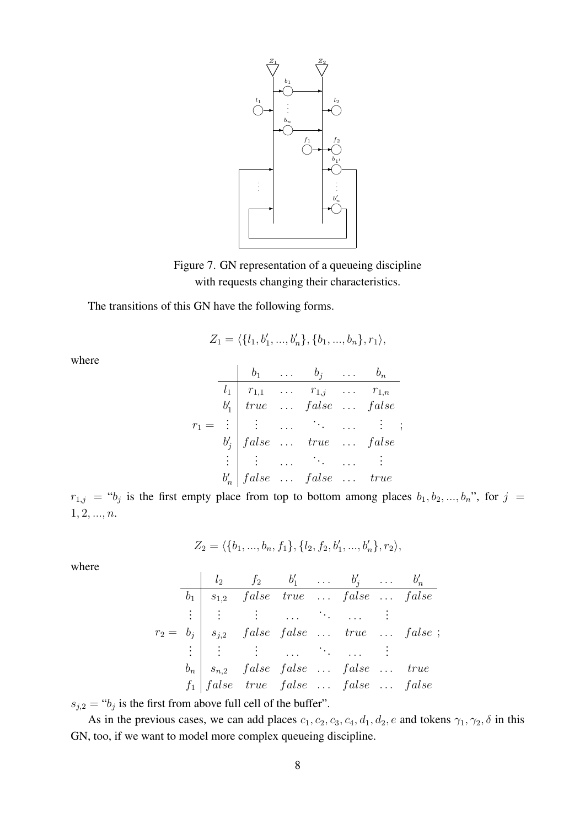

Figure 7. GN representation of a queueing discipline with requests changing their characteristics.

The transitions of this GN have the following forms.

$$
Z_1 = \langle \{l_1, b'_1, ..., b'_n\}, \{b_1, ..., b_n\}, r_1 \rangle,
$$

where

$$
r_1 = \begin{array}{c|cccc} & b_1 & \ldots & b_j & \ldots & b_n \\ \hline l_1 & r_{1,1} & \ldots & r_{1,j} & \ldots & r_{1,n} \\ b'_1 & true & \ldots & false & \ldots & false \\ r_1 = \begin{array}{c|cccc} \vdots & \ldots & \ddots & \ldots & \vdots \\ b'_j & false & \ldots & true & \ldots & false \\ \vdots & \vdots & \ldots & \ddots & \ldots & \vdots \\ b'_n & false & \ldots & false & \ldots & true \end{array}
$$

 $r_{1,j}$  = " $b_j$  is the first empty place from top to bottom among places  $b_1, b_2, ..., b_n$ ", for  $j =$  $1, 2, ..., n$ .

$$
Z_2 = \langle \{b_1, ..., b_n, f_1\}, \{l_2, f_2, b'_1, ..., b'_n\}, r_2 \rangle,
$$

where

| $l_2$       | $f_2$     | $b'_1$   | $\ldots$ | $b'_j$   | $\ldots$ | $b'_n$   |       |
|-------------|-----------|----------|----------|----------|----------|----------|-------|
| $b_1$       | $s_{1,2}$ | false    | true     | $\ldots$ | false    | $\ldots$ | false |
| $\vdots$    | $\vdots$  | $\ldots$ | $\ldots$ | $\vdots$ |          |          |       |
| $r_2 = b_j$ | $s_{j,2}$ | false    | false    | true     | $\ldots$ | false    | false |
| $\vdots$    | $\vdots$  | $\ldots$ | $\ldots$ | false    | true     |          |       |
| $\vdots$    | $s_{n,2}$ | false    | false    | false    | false    | true     |       |
| $f_1$       | false     | true     | false    | false    | false    | false    | false |

 $s_{j,2} = "b_j$  is the first from above full cell of the buffer".

As in the previous cases, we can add places  $c_1, c_2, c_3, c_4, d_1, d_2, e$  and tokens  $\gamma_1, \gamma_2, \delta$  in this GN, too, if we want to model more complex queueing discipline.